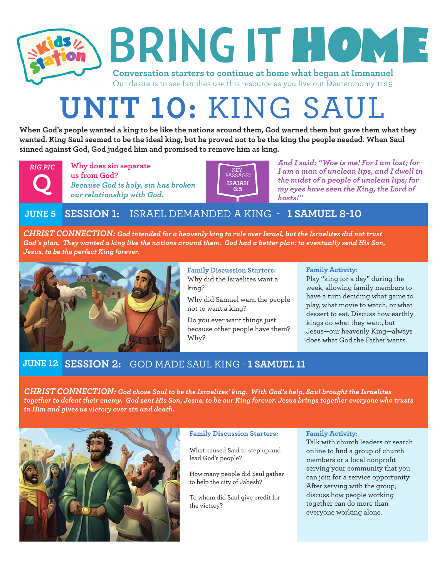

# **UNIT 10:** KING SAUL

**When God's people wanted a king to be like the nations around them, God warned them but gave them what they wanted. King Saul seemed to be the ideal king, but he proved not to be the king the people needed. When Saul sinned against God, God judged him and promised to remove him as king.**



**Why does sin separate us from God?** *Because God is holy, sin has broken* **Q** *our relationship with God.*



*And I said: "Woe is me! For I am lost; for I am a man of unclean lips, and I dwell in the midst of a people of unclean lips; for my eyes have seen the King, the Lord of hosts!"*

# **JUNE 5 SESSION 1:** ISRAEL DEMANDED A KING -  **1 SAMUEL 8-10**

*CHRIST CONNECTION: God intended for a heavenly king to rule over Israel, but the Israelites did not trust God's plan. They wanted a king like the nations around them. God had a better plan: to eventually send His Son, Jesus, to be the perfect King forever.*



**Family Discussion Starters:** Why did the Israelites want a king?

Why did Samuel warn the people not to want a king?

Do you ever want things just because other people have them? Why?

## **Family Activity:**

Play "king for a day" during the week, allowing family members to have a turn deciding what game to play, what movie to watch, or what dessert to eat. Discuss how earthly kings do what they want, but Jesus—our heavenly King—always does what God the Father wants.

## **SESSION 2:** GOD MADE SAUL KING - **1 SAMUEL 11 JUNE 12**

*CHRIST CONNECTION: God chose Saul to be the Israelites' king. With God's help, Saul brought the Israelites together to defeat their enemy. God sent His Son, Jesus, to be our King forever. Jesus brings together everyone who trusts in Him and gives us victory over sin and death.*



## **Family Discussion Starters:**

What caused Saul to step up and lead God's people?

How many people did Saul gather to help the city of Jabesh?

To whom did Saul give credit for the victory?

## **Family Activity:**

Talk with church leaders or search online to find a group of church members or a local nonprofit serving your community that you can join for a service opportunity. After serving with the group, discuss how people working together can do more than everyone working alone.